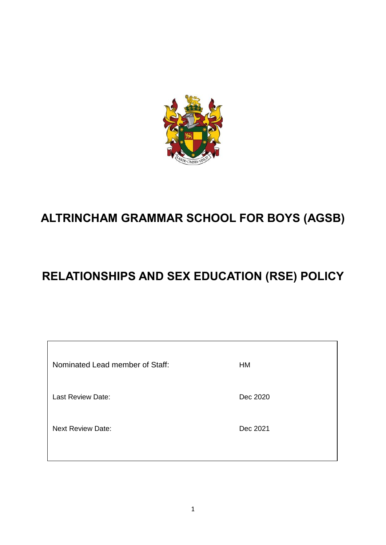

# **ALTRINCHAM GRAMMAR SCHOOL FOR BOYS (AGSB)**

# **RELATIONSHIPS AND SEX EDUCATION (RSE) POLICY**

| Nominated Lead member of Staff: | HM       |
|---------------------------------|----------|
| Last Review Date:               | Dec 2020 |
| <b>Next Review Date:</b>        | Dec 2021 |
|                                 |          |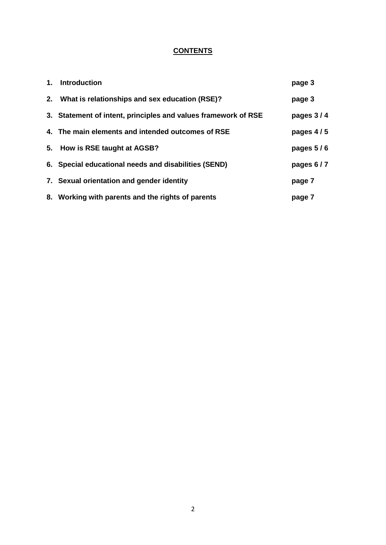## **CONTENTS**

| 1. | <b>Introduction</b>                                            | page 3      |
|----|----------------------------------------------------------------|-------------|
|    | 2. What is relationships and sex education (RSE)?              | page 3      |
|    | 3. Statement of intent, principles and values framework of RSE | pages 3/4   |
|    | 4. The main elements and intended outcomes of RSE              | pages $4/5$ |
|    | 5. How is RSE taught at AGSB?                                  | pages 5/6   |
|    | 6. Special educational needs and disabilities (SEND)           | pages 6/7   |
|    | 7. Sexual orientation and gender identity                      | page 7      |
|    | 8. Working with parents and the rights of parents              | page 7      |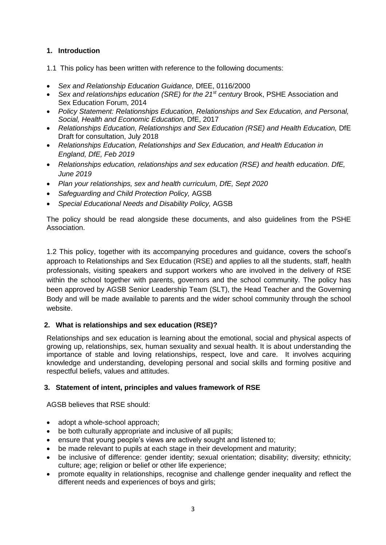### **1. Introduction**

1.1 This policy has been written with reference to the following documents:

- *Sex and Relationship Education Guidance,* DfEE, 0116/2000
- *Sex and relationships education (SRE) for the 21<sup>st</sup> century Brook, PSHE Association and* Sex Education Forum, 2014
- *Policy Statement: Relationships Education, Relationships and Sex Education, and Personal, Social, Health and Economic Education,* DfE, 2017
- *Relationships Education, Relationships and Sex Education (RSE) and Health Education, DfE* Draft for consultation, July 2018
- *Relationships Education, Relationships and Sex Education, and Health Education in England, DfE, Feb 2019*
- *Relationships education, relationships and sex education (RSE) and health education. DfE, June 2019*
- *Plan your relationships, sex and health curriculum, DfE, Sept 2020*
- *Safeguarding and Child Protection Policy,* AGSB
- *Special Educational Needs and Disability Policy,* AGSB

The policy should be read alongside these documents, and also guidelines from the PSHE Association.

1.2 This policy, together with its accompanying procedures and guidance, covers the school's approach to Relationships and Sex Education (RSE) and applies to all the students, staff, health professionals, visiting speakers and support workers who are involved in the delivery of RSE within the school together with parents, governors and the school community. The policy has been approved by AGSB Senior Leadership Team (SLT), the Head Teacher and the Governing Body and will be made available to parents and the wider school community through the school website.

#### **2. What is relationships and sex education (RSE)?**

Relationships and sex education is learning about the emotional, social and physical aspects of growing up, relationships, sex, human sexuality and sexual health. It is about understanding the importance of stable and loving relationships, respect, love and care. It involves acquiring knowledge and understanding, developing personal and social skills and forming positive and respectful beliefs, values and attitudes.

#### **3. Statement of intent, principles and values framework of RSE**

AGSB believes that RSE should:

- adopt a whole-school approach;
- be both culturally appropriate and inclusive of all pupils;
- ensure that young people's views are actively sought and listened to;
- be made relevant to pupils at each stage in their development and maturity;
- be inclusive of difference: gender identity; sexual orientation; disability; diversity; ethnicity; culture; age; religion or belief or other life experience;
- promote equality in relationships, recognise and challenge gender inequality and reflect the different needs and experiences of boys and girls;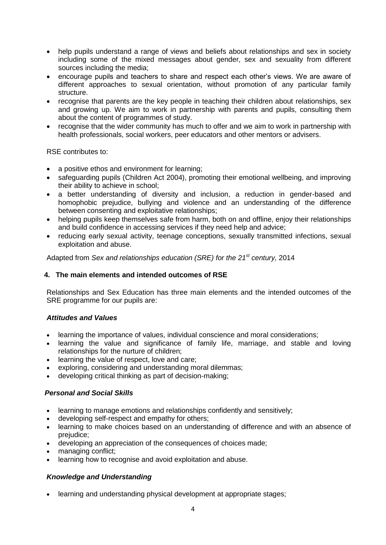- help pupils understand a range of views and beliefs about relationships and sex in society including some of the mixed messages about gender, sex and sexuality from different sources including the media;
- encourage pupils and teachers to share and respect each other's views. We are aware of different approaches to sexual orientation, without promotion of any particular family structure.
- recognise that parents are the key people in teaching their children about relationships, sex and growing up. We aim to work in partnership with parents and pupils, consulting them about the content of programmes of study.
- recognise that the wider community has much to offer and we aim to work in partnership with health professionals, social workers, peer educators and other mentors or advisers.

RSE contributes to:

- a positive ethos and environment for learning;
- safeguarding pupils (Children Act 2004), promoting their emotional wellbeing, and improving their ability to achieve in school;
- a better understanding of diversity and inclusion, a reduction in gender-based and homophobic prejudice, bullying and violence and an understanding of the difference between consenting and exploitative relationships;
- helping pupils keep themselves safe from harm, both on and offline, enjoy their relationships and build confidence in accessing services if they need help and advice;
- reducing early sexual activity, teenage conceptions, sexually transmitted infections, sexual exploitation and abuse.

Adapted from *Sex and relationships education (SRE) for the 21st century,* 2014

#### **4. The main elements and intended outcomes of RSE**

Relationships and Sex Education has three main elements and the intended outcomes of the SRE programme for our pupils are:

#### *Attitudes and Values*

- learning the importance of values, individual conscience and moral considerations;
- learning the value and significance of family life, marriage, and stable and loving relationships for the nurture of children;
- learning the value of respect, love and care;
- exploring, considering and understanding moral dilemmas;
- developing critical thinking as part of decision-making;

#### *Personal and Social Skills*

- learning to manage emotions and relationships confidently and sensitively;
- developing self-respect and empathy for others;
- learning to make choices based on an understanding of difference and with an absence of prejudice;
- developing an appreciation of the consequences of choices made;
- managing conflict;
- learning how to recognise and avoid exploitation and abuse.

### *Knowledge and Understanding*

• learning and understanding physical development at appropriate stages;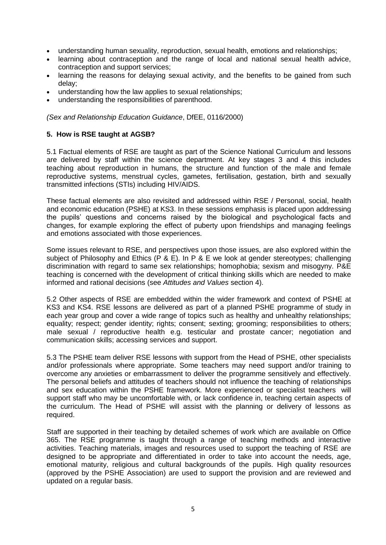- understanding human sexuality, reproduction, sexual health, emotions and relationships;
- learning about contraception and the range of local and national sexual health advice, contraception and support services;
- learning the reasons for delaying sexual activity, and the benefits to be gained from such delay;
- understanding how the law applies to sexual relationships;
- understanding the responsibilities of parenthood.

*(Sex and Relationship Education Guidance*, DfEE, 0116/2000)

#### **5. How is RSE taught at AGSB?**

5.1 Factual elements of RSE are taught as part of the Science National Curriculum and lessons are delivered by staff within the science department. At key stages 3 and 4 this includes teaching about reproduction in humans, the structure and function of the male and female reproductive systems, menstrual cycles, gametes, fertilisation, gestation, birth and sexually transmitted infections (STIs) including HIV/AIDS.

These factual elements are also revisited and addressed within RSE / Personal, social, health and economic education (PSHE) at KS3. In these sessions emphasis is placed upon addressing the pupils' questions and concerns raised by the biological and psychological facts and changes, for example exploring the effect of puberty upon friendships and managing feelings and emotions associated with those experiences.

Some issues relevant to RSE, and perspectives upon those issues, are also explored within the subject of Philosophy and Ethics (P & E). In P & E we look at gender stereotypes; challenging discrimination with regard to same sex relationships; homophobia; sexism and misogyny. P&E teaching is concerned with the development of critical thinking skills which are needed to make informed and rational decisions (see *Attitudes and Values* section 4).

5.2 Other aspects of RSE are embedded within the wider framework and context of PSHE at KS3 and KS4. RSE lessons are delivered as part of a planned PSHE programme of study in each year group and cover a wide range of topics such as healthy and unhealthy relationships; equality; respect; gender identity; rights; consent; sexting; grooming; responsibilities to others; male sexual / reproductive health e.g. testicular and prostate cancer; negotiation and communication skills; accessing services and support.

5.3 The PSHE team deliver RSE lessons with support from the Head of PSHE, other specialists and/or professionals where appropriate. Some teachers may need support and/or training to overcome any anxieties or embarrassment to deliver the programme sensitively and effectively. The personal beliefs and attitudes of teachers should not influence the teaching of relationships and sex education within the PSHE framework. More experienced or specialist teachers will support staff who may be uncomfortable with, or lack confidence in, teaching certain aspects of the curriculum. The Head of PSHE will assist with the planning or delivery of lessons as required.

Staff are supported in their teaching by detailed schemes of work which are available on Office 365. The RSE programme is taught through a range of teaching methods and interactive activities. Teaching materials, images and resources used to support the teaching of RSE are designed to be appropriate and differentiated in order to take into account the needs, age, emotional maturity, religious and cultural backgrounds of the pupils. High quality resources (approved by the PSHE Association) are used to support the provision and are reviewed and updated on a regular basis.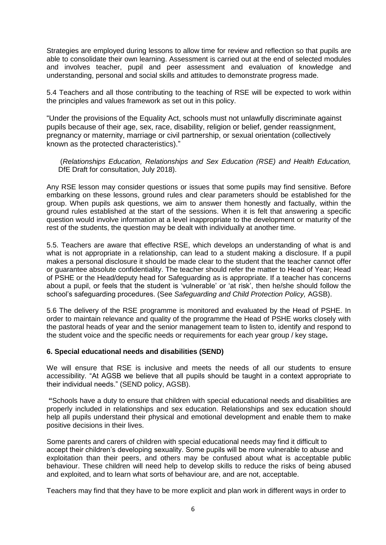Strategies are employed during lessons to allow time for review and reflection so that pupils are able to consolidate their own learning. Assessment is carried out at the end of selected modules and involves teacher, pupil and peer assessment and evaluation of knowledge and understanding, personal and social skills and attitudes to demonstrate progress made.

5.4 Teachers and all those contributing to the teaching of RSE will be expected to work within the principles and values framework as set out in this policy.

"Under the provisions of the Equality Act, schools must not unlawfully discriminate against pupils because of their age, sex, race, disability, religion or belief, gender reassignment, pregnancy or maternity, marriage or civil partnership, or sexual orientation (collectively known as the protected characteristics)."

(*Relationships Education, Relationships and Sex Education (RSE) and Health Education,*  DfE Draft for consultation, July 2018).

Any RSE lesson may consider questions or issues that some pupils may find sensitive. Before embarking on these lessons, ground rules and clear parameters should be established for the group. When pupils ask questions, we aim to answer them honestly and factually, within the ground rules established at the start of the sessions. When it is felt that answering a specific question would involve information at a level inappropriate to the development or maturity of the rest of the students, the question may be dealt with individually at another time.

5.5. Teachers are aware that effective RSE, which develops an understanding of what is and what is not appropriate in a relationship, can lead to a student making a disclosure. If a pupil makes a personal disclosure it should be made clear to the student that the teacher cannot offer or guarantee absolute confidentiality. The teacher should refer the matter to Head of Year; Head of PSHE or the Head/deputy head for Safeguarding as is appropriate. If a teacher has concerns about a pupil, or feels that the student is 'vulnerable' or 'at risk', then he/she should follow the school's safeguarding procedures. (See *Safeguarding and Child Protection Policy,* AGSB).

5.6 The delivery of the RSE programme is monitored and evaluated by the Head of PSHE. In order to maintain relevance and quality of the programme the Head of PSHE works closely with the pastoral heads of year and the senior management team to listen to, identify and respond to the student voice and the specific needs or requirements for each year group / key stage**.**

#### **6. Special educational needs and disabilities (SEND)**

We will ensure that RSE is inclusive and meets the needs of all our students to ensure accessibility. "At AGSB we believe that all pupils should be taught in a context appropriate to their individual needs." (SEND policy, AGSB).

**"**Schools have a duty to ensure that children with special educational needs and disabilities are properly included in relationships and sex education. Relationships and sex education should help all pupils understand their physical and emotional development and enable them to make positive decisions in their lives.

Some parents and carers of children with special educational needs may find it difficult to accept their children's developing sexuality. Some pupils will be more vulnerable to abuse and exploitation than their peers, and others may be confused about what is acceptable public behaviour. These children will need help to develop skills to reduce the risks of being abused and exploited, and to learn what sorts of behaviour are, and are not, acceptable.

Teachers may find that they have to be more explicit and plan work in different ways in order to